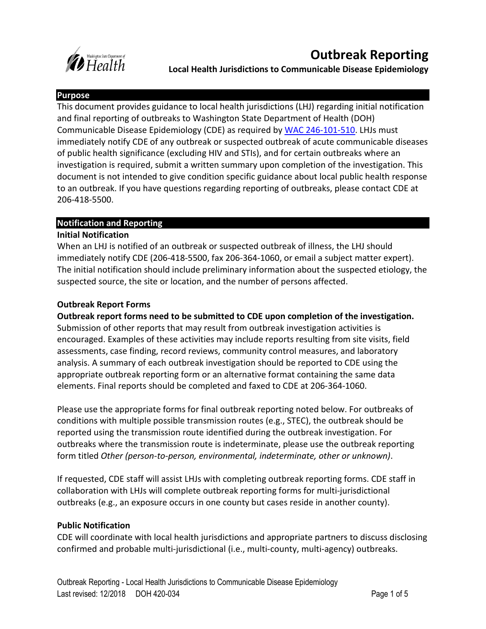

**Local Health Jurisdictions to Communicable Disease Epidemiology**

### **Purpose**

This document provides guidance to local health jurisdictions (LHJ) regarding initial notification and final reporting of outbreaks to Washington State Department of Health (DOH) Communicable Disease Epidemiology (CDE) as required by [WAC 246-101-510.](https://app.leg.wa.gov/wac/default.aspx?cite=246-101-510) LHJs must immediately notify CDE of any outbreak or suspected outbreak of acute communicable diseases of public health significance (excluding HIV and STIs), and for certain outbreaks where an investigation is required, submit a written summary upon completion of the investigation. This document is not intended to give condition specific guidance about local public health response to an outbreak. If you have questions regarding reporting of outbreaks, please contact CDE at 206-418-5500.

# **Notification and Reporting**

# **Initial Notification**

When an LHJ is notified of an outbreak or suspected outbreak of illness, the LHJ should immediately notify CDE (206-418-5500, fax 206-364-1060, or email a subject matter expert). The initial notification should include preliminary information about the suspected etiology, the suspected source, the site or location, and the number of persons affected.

# **Outbreak Report Forms**

**Outbreak report forms need to be submitted to CDE upon completion of the investigation.**  Submission of other reports that may result from outbreak investigation activities is encouraged. Examples of these activities may include reports resulting from site visits, field assessments, case finding, record reviews, community control measures, and laboratory analysis. A summary of each outbreak investigation should be reported to CDE using the appropriate outbreak reporting form or an alternative format containing the same data elements. Final reports should be completed and faxed to CDE at 206-364-1060.

Please use the appropriate forms for final outbreak reporting noted below. For outbreaks of conditions with multiple possible transmission routes (e.g., STEC), the outbreak should be reported using the transmission route identified during the outbreak investigation. For outbreaks where the transmission route is indeterminate, please use the outbreak reporting form titled *Other (person-to-person, environmental, indeterminate, other or unknown)*.

If requested, CDE staff will assist LHJs with completing outbreak reporting forms. CDE staff in collaboration with LHJs will complete outbreak reporting forms for multi-jurisdictional outbreaks (e.g., an exposure occurs in one county but cases reside in another county).

# **Public Notification**

CDE will coordinate with local health jurisdictions and appropriate partners to discuss disclosing confirmed and probable multi-jurisdictional (i.e., multi-county, multi-agency) outbreaks.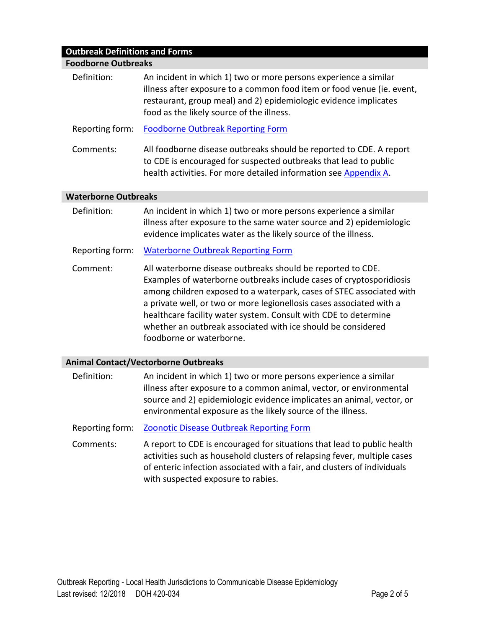# **Outbreak Definitions and Forms**

| <b>Foodborne Outbreaks</b>                  |                                                                                                                                                                                                                                                                                                                                                                                                                                                   |  |  |  |
|---------------------------------------------|---------------------------------------------------------------------------------------------------------------------------------------------------------------------------------------------------------------------------------------------------------------------------------------------------------------------------------------------------------------------------------------------------------------------------------------------------|--|--|--|
| Definition:                                 | An incident in which 1) two or more persons experience a similar<br>illness after exposure to a common food item or food venue (ie. event,<br>restaurant, group meal) and 2) epidemiologic evidence implicates<br>food as the likely source of the illness.                                                                                                                                                                                       |  |  |  |
| Reporting form:                             | <b>Foodborne Outbreak Reporting Form</b>                                                                                                                                                                                                                                                                                                                                                                                                          |  |  |  |
| Comments:                                   | All foodborne disease outbreaks should be reported to CDE. A report<br>to CDE is encouraged for suspected outbreaks that lead to public<br>health activities. For more detailed information see Appendix A.                                                                                                                                                                                                                                       |  |  |  |
| <b>Waterborne Outbreaks</b>                 |                                                                                                                                                                                                                                                                                                                                                                                                                                                   |  |  |  |
| Definition:                                 | An incident in which 1) two or more persons experience a similar<br>illness after exposure to the same water source and 2) epidemiologic<br>evidence implicates water as the likely source of the illness.                                                                                                                                                                                                                                        |  |  |  |
| Reporting form:                             | <b>Waterborne Outbreak Reporting Form</b>                                                                                                                                                                                                                                                                                                                                                                                                         |  |  |  |
| Comment:                                    | All waterborne disease outbreaks should be reported to CDE.<br>Examples of waterborne outbreaks include cases of cryptosporidiosis<br>among children exposed to a waterpark, cases of STEC associated with<br>a private well, or two or more legionellosis cases associated with a<br>healthcare facility water system. Consult with CDE to determine<br>whether an outbreak associated with ice should be considered<br>foodborne or waterborne. |  |  |  |
| <b>Animal Contact/Vectorborne Outbreaks</b> |                                                                                                                                                                                                                                                                                                                                                                                                                                                   |  |  |  |
| Definition:                                 | An incident in which 1) two or more persons experience a similar<br>illness after exposure to a common animal, vector, or environmental<br>source and 2) epidemiologic evidence implicates an animal, vector, or<br>environmental exposure as the likely source of the illness.                                                                                                                                                                   |  |  |  |
| Reporting form:                             | <b>Zoonotic Disease Outbreak Reporting Form</b>                                                                                                                                                                                                                                                                                                                                                                                                   |  |  |  |
| Comments:                                   | A report to CDE is encouraged for situations that lead to public health<br>والمرابط والمتحادي والمستحيل والمتاري والمسترات والمستحدد والمسترات والمستحدث والمستحدث والمتابع والمنازعة والمنازع                                                                                                                                                                                                                                                    |  |  |  |

activities such as household clusters of relapsing fever, multiple cases of enteric infection associated with a fair, and clusters of individuals with suspected exposure to rabies.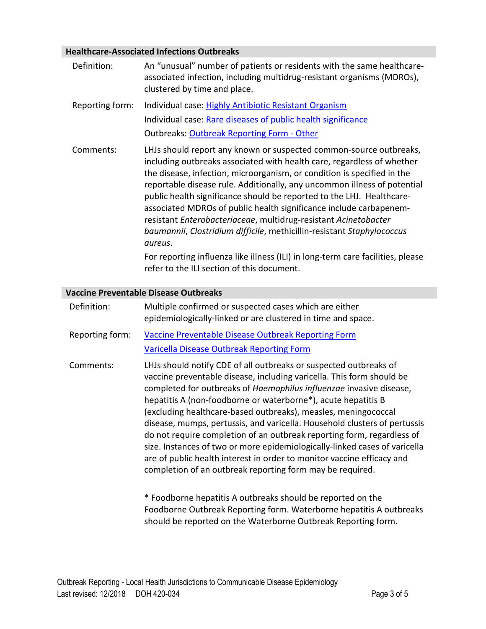# **Healthcare-Associated Infections Outbreaks**

| Definition:                          | An "unusual" number of patients or residents with the same healthcare-<br>associated infection, including multidrug-resistant organisms (MDROs),<br>clustered by time and place.                                                                                                                                                                                                                                                                                                                                                                                                                                                                                                                                                            |  |  |
|--------------------------------------|---------------------------------------------------------------------------------------------------------------------------------------------------------------------------------------------------------------------------------------------------------------------------------------------------------------------------------------------------------------------------------------------------------------------------------------------------------------------------------------------------------------------------------------------------------------------------------------------------------------------------------------------------------------------------------------------------------------------------------------------|--|--|
| Reporting form:                      | Individual case: Highly Antibiotic Resistant Organism<br>Individual case: Rare diseases of public health significance<br>Outbreaks: Outbreak Reporting Form - Other                                                                                                                                                                                                                                                                                                                                                                                                                                                                                                                                                                         |  |  |
| Comments:                            | LHJs should report any known or suspected common-source outbreaks,<br>including outbreaks associated with health care, regardless of whether<br>the disease, infection, microorganism, or condition is specified in the<br>reportable disease rule. Additionally, any uncommon illness of potential<br>public health significance should be reported to the LHJ. Healthcare-<br>associated MDROs of public health significance include carbapenem-<br>resistant Enterobacteriaceae, multidrug-resistant Acinetobacter<br>baumannii, Clostridium difficile, methicillin-resistant Staphylococcus<br>aureus.<br>For reporting influenza like illness (ILI) in long-term care facilities, please<br>refer to the ILI section of this document. |  |  |
| accine Preventable Disease Outbreaks |                                                                                                                                                                                                                                                                                                                                                                                                                                                                                                                                                                                                                                                                                                                                             |  |  |

#### **Vaccine Preventable Disease Outbreaks**

| Definition:     | Multiple confirmed or suspected cases which are either<br>epidemiologically-linked or are clustered in time and space.                                                                                                                                                                                                                                                                                                                                                                                                                                                                                                                                                                                                           |
|-----------------|----------------------------------------------------------------------------------------------------------------------------------------------------------------------------------------------------------------------------------------------------------------------------------------------------------------------------------------------------------------------------------------------------------------------------------------------------------------------------------------------------------------------------------------------------------------------------------------------------------------------------------------------------------------------------------------------------------------------------------|
| Reporting form: | Vaccine Preventable Disease Outbreak Reporting Form<br>Varicella Disease Outbreak Reporting Form                                                                                                                                                                                                                                                                                                                                                                                                                                                                                                                                                                                                                                 |
| Comments:       | LHJs should notify CDE of all outbreaks or suspected outbreaks of<br>vaccine preventable disease, including varicella. This form should be<br>completed for outbreaks of Haemophilus influenzae invasive disease,<br>hepatitis A (non-foodborne or waterborne*), acute hepatitis B<br>(excluding healthcare-based outbreaks), measles, meningococcal<br>disease, mumps, pertussis, and varicella. Household clusters of pertussis<br>do not require completion of an outbreak reporting form, regardless of<br>size. Instances of two or more epidemiologically-linked cases of varicella<br>are of public health interest in order to monitor vaccine efficacy and<br>completion of an outbreak reporting form may be required. |
|                 | * Egodharna hanatitic A quthroake should ha raperted on the                                                                                                                                                                                                                                                                                                                                                                                                                                                                                                                                                                                                                                                                      |

Foodborne hepatitis A outbreaks should be reported on the Foodborne Outbreak Reporting form. Waterborne hepatitis A outbreaks should be reported on the Waterborne Outbreak Reporting form.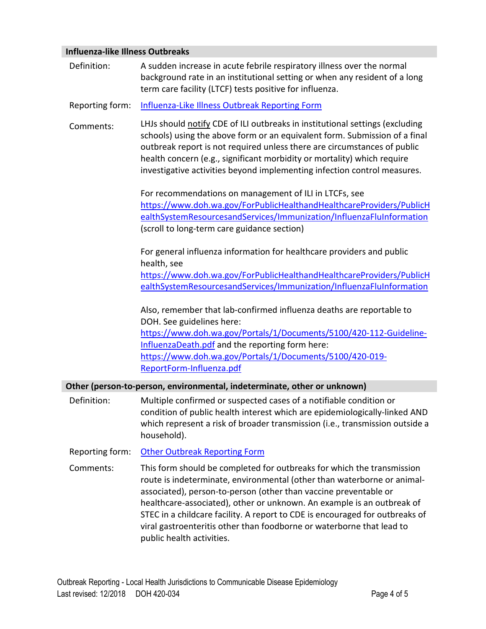# **Influenza-like Illness Outbreaks**

| IIIIIUEIIZA-IINE IIIIIESS OULDI EANS |                                                                                                                                                                                                                                                                                                                                                                                                                                                          |  |
|--------------------------------------|----------------------------------------------------------------------------------------------------------------------------------------------------------------------------------------------------------------------------------------------------------------------------------------------------------------------------------------------------------------------------------------------------------------------------------------------------------|--|
| Definition:                          | A sudden increase in acute febrile respiratory illness over the normal<br>background rate in an institutional setting or when any resident of a long<br>term care facility (LTCF) tests positive for influenza.                                                                                                                                                                                                                                          |  |
| Reporting form:                      | Influenza-Like Illness Outbreak Reporting Form                                                                                                                                                                                                                                                                                                                                                                                                           |  |
| Comments:                            | LHJs should notify CDE of ILI outbreaks in institutional settings (excluding<br>schools) using the above form or an equivalent form. Submission of a final<br>outbreak report is not required unless there are circumstances of public<br>health concern (e.g., significant morbidity or mortality) which require<br>investigative activities beyond implementing infection control measures.                                                            |  |
|                                      | For recommendations on management of ILI in LTCFs, see<br>https://www.doh.wa.gov/ForPublicHealthandHealthcareProviders/PublicH<br>ealthSystemResourcesandServices/Immunization/InfluenzaFluInformation<br>(scroll to long-term care guidance section)                                                                                                                                                                                                    |  |
|                                      | For general influenza information for healthcare providers and public<br>health, see<br>https://www.doh.wa.gov/ForPublicHealthandHealthcareProviders/PublicH<br>ealthSystemResourcesandServices/Immunization/InfluenzaFluInformation                                                                                                                                                                                                                     |  |
|                                      | Also, remember that lab-confirmed influenza deaths are reportable to<br>DOH. See guidelines here:<br>https://www.doh.wa.gov/Portals/1/Documents/5100/420-112-Guideline-<br>InfluenzaDeath.pdf and the reporting form here:<br>https://www.doh.wa.gov/Portals/1/Documents/5100/420-019-<br>ReportForm-Influenza.pdf                                                                                                                                       |  |
|                                      | Other (person-to-person, environmental, indeterminate, other or unknown)                                                                                                                                                                                                                                                                                                                                                                                 |  |
| Definition:                          | Multiple confirmed or suspected cases of a notifiable condition or<br>condition of public health interest which are epidemiologically-linked AND<br>which represent a risk of broader transmission (i.e., transmission outside a<br>household).                                                                                                                                                                                                          |  |
| Reporting form:                      | <b>Other Outbreak Reporting Form</b>                                                                                                                                                                                                                                                                                                                                                                                                                     |  |
| Comments:                            | This form should be completed for outbreaks for which the transmission<br>route is indeterminate, environmental (other than waterborne or animal-<br>associated), person-to-person (other than vaccine preventable or<br>healthcare-associated), other or unknown. An example is an outbreak of<br>STEC in a childcare facility. A report to CDE is encouraged for outbreaks of<br>viral gastroenteritis other than foodborne or waterborne that lead to |  |

public health activities.